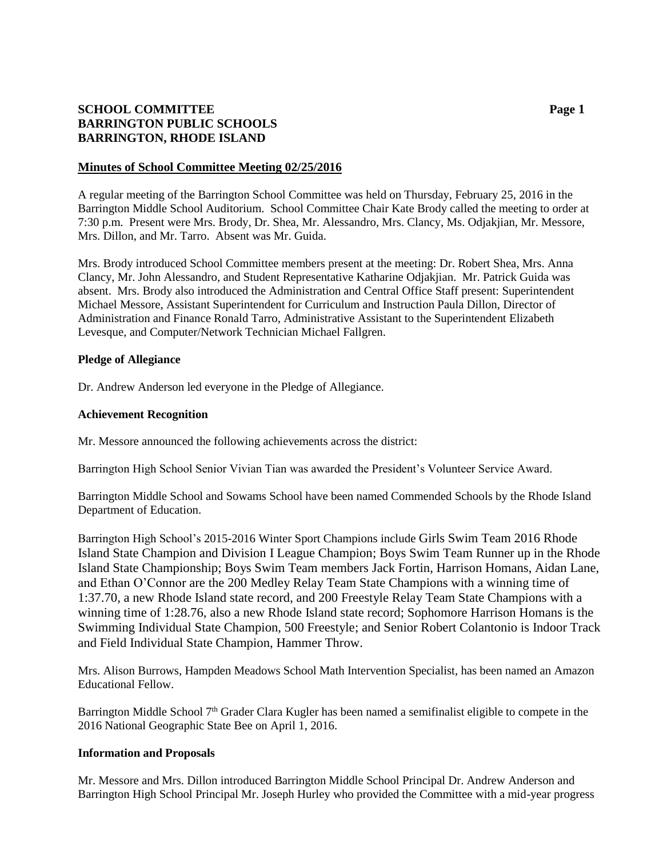# **SCHOOL COMMITTEE Page 1 BARRINGTON PUBLIC SCHOOLS BARRINGTON, RHODE ISLAND**

### **Minutes of School Committee Meeting 02/25/2016**

A regular meeting of the Barrington School Committee was held on Thursday, February 25, 2016 in the Barrington Middle School Auditorium. School Committee Chair Kate Brody called the meeting to order at 7:30 p.m. Present were Mrs. Brody, Dr. Shea, Mr. Alessandro, Mrs. Clancy, Ms. Odjakjian, Mr. Messore, Mrs. Dillon, and Mr. Tarro. Absent was Mr. Guida.

Mrs. Brody introduced School Committee members present at the meeting: Dr. Robert Shea, Mrs. Anna Clancy, Mr. John Alessandro, and Student Representative Katharine Odjakjian. Mr. Patrick Guida was absent. Mrs. Brody also introduced the Administration and Central Office Staff present: Superintendent Michael Messore, Assistant Superintendent for Curriculum and Instruction Paula Dillon, Director of Administration and Finance Ronald Tarro, Administrative Assistant to the Superintendent Elizabeth Levesque, and Computer/Network Technician Michael Fallgren.

### **Pledge of Allegiance**

Dr. Andrew Anderson led everyone in the Pledge of Allegiance.

### **Achievement Recognition**

Mr. Messore announced the following achievements across the district:

Barrington High School Senior Vivian Tian was awarded the President's Volunteer Service Award.

Barrington Middle School and Sowams School have been named Commended Schools by the Rhode Island Department of Education.

Barrington High School's 2015-2016 Winter Sport Champions include Girls Swim Team 2016 Rhode Island State Champion and Division I League Champion; Boys Swim Team Runner up in the Rhode Island State Championship; Boys Swim Team members Jack Fortin, Harrison Homans, Aidan Lane, and Ethan O'Connor are the 200 Medley Relay Team State Champions with a winning time of 1:37.70, a new Rhode Island state record, and 200 Freestyle Relay Team State Champions with a winning time of 1:28.76, also a new Rhode Island state record; Sophomore Harrison Homans is the Swimming Individual State Champion, 500 Freestyle; and Senior Robert Colantonio is Indoor Track and Field Individual State Champion, Hammer Throw.

Mrs. Alison Burrows, Hampden Meadows School Math Intervention Specialist, has been named an Amazon Educational Fellow.

Barrington Middle School 7<sup>th</sup> Grader Clara Kugler has been named a semifinalist eligible to compete in the 2016 National Geographic State Bee on April 1, 2016.

#### **Information and Proposals**

Mr. Messore and Mrs. Dillon introduced Barrington Middle School Principal Dr. Andrew Anderson and Barrington High School Principal Mr. Joseph Hurley who provided the Committee with a mid-year progress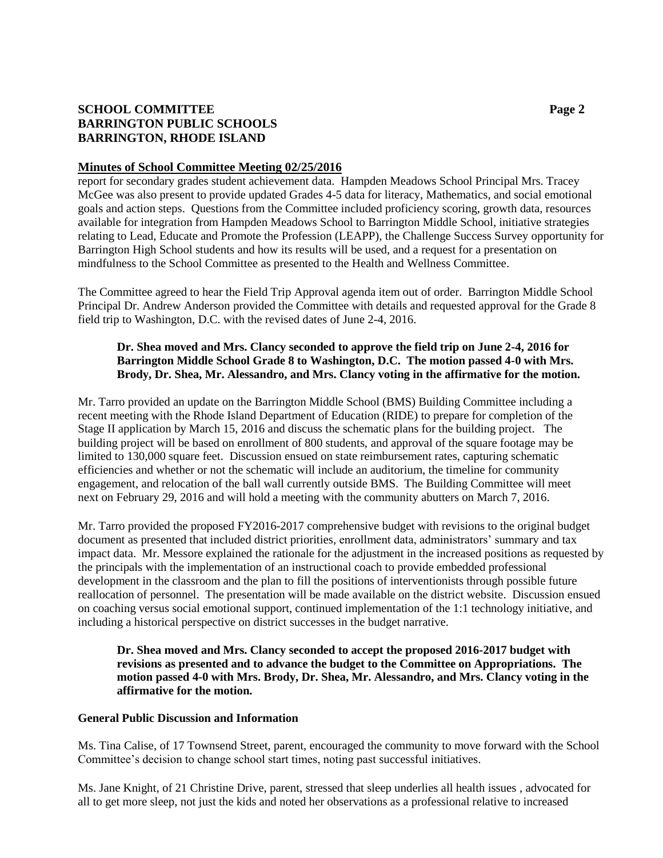# **SCHOOL COMMITTEE Page 2 BARRINGTON PUBLIC SCHOOLS BARRINGTON, RHODE ISLAND**

## **Minutes of School Committee Meeting 02/25/2016**

report for secondary grades student achievement data. Hampden Meadows School Principal Mrs. Tracey McGee was also present to provide updated Grades 4-5 data for literacy, Mathematics, and social emotional goals and action steps. Questions from the Committee included proficiency scoring, growth data, resources available for integration from Hampden Meadows School to Barrington Middle School, initiative strategies relating to Lead, Educate and Promote the Profession (LEAPP), the Challenge Success Survey opportunity for Barrington High School students and how its results will be used, and a request for a presentation on mindfulness to the School Committee as presented to the Health and Wellness Committee.

The Committee agreed to hear the Field Trip Approval agenda item out of order. Barrington Middle School Principal Dr. Andrew Anderson provided the Committee with details and requested approval for the Grade 8 field trip to Washington, D.C. with the revised dates of June 2-4, 2016.

## **Dr. Shea moved and Mrs. Clancy seconded to approve the field trip on June 2-4, 2016 for Barrington Middle School Grade 8 to Washington, D.C. The motion passed 4-0 with Mrs. Brody, Dr. Shea, Mr. Alessandro, and Mrs. Clancy voting in the affirmative for the motion.**

Mr. Tarro provided an update on the Barrington Middle School (BMS) Building Committee including a recent meeting with the Rhode Island Department of Education (RIDE) to prepare for completion of the Stage II application by March 15, 2016 and discuss the schematic plans for the building project. The building project will be based on enrollment of 800 students, and approval of the square footage may be limited to 130,000 square feet. Discussion ensued on state reimbursement rates, capturing schematic efficiencies and whether or not the schematic will include an auditorium, the timeline for community engagement, and relocation of the ball wall currently outside BMS. The Building Committee will meet next on February 29, 2016 and will hold a meeting with the community abutters on March 7, 2016.

Mr. Tarro provided the proposed FY2016-2017 comprehensive budget with revisions to the original budget document as presented that included district priorities, enrollment data, administrators' summary and tax impact data. Mr. Messore explained the rationale for the adjustment in the increased positions as requested by the principals with the implementation of an instructional coach to provide embedded professional development in the classroom and the plan to fill the positions of interventionists through possible future reallocation of personnel. The presentation will be made available on the district website. Discussion ensued on coaching versus social emotional support, continued implementation of the 1:1 technology initiative, and including a historical perspective on district successes in the budget narrative.

**Dr. Shea moved and Mrs. Clancy seconded to accept the proposed 2016-2017 budget with revisions as presented and to advance the budget to the Committee on Appropriations. The motion passed 4-0 with Mrs. Brody, Dr. Shea, Mr. Alessandro, and Mrs. Clancy voting in the affirmative for the motion.**

## **General Public Discussion and Information**

Ms. Tina Calise, of 17 Townsend Street, parent, encouraged the community to move forward with the School Committee's decision to change school start times, noting past successful initiatives.

Ms. Jane Knight, of 21 Christine Drive, parent, stressed that sleep underlies all health issues , advocated for all to get more sleep, not just the kids and noted her observations as a professional relative to increased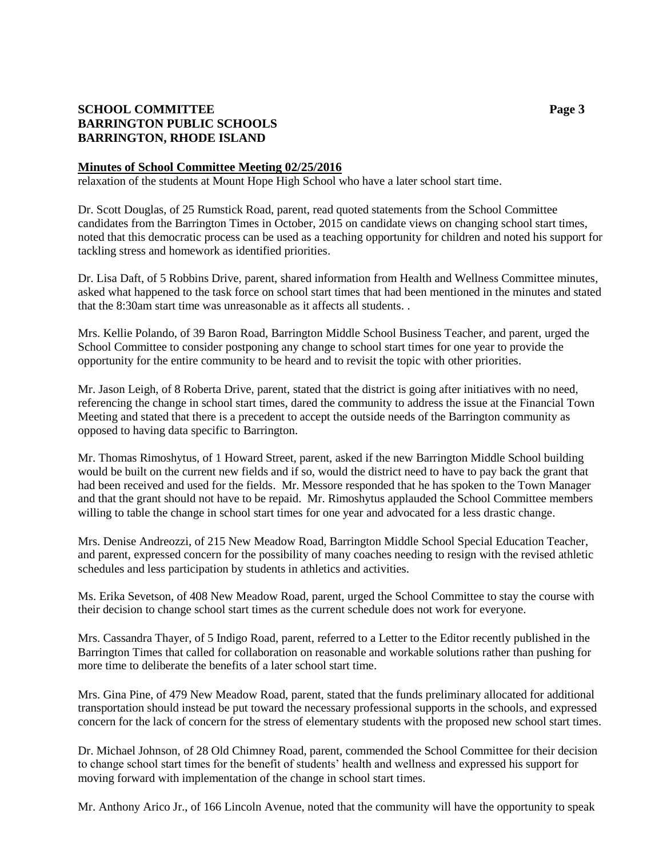# **SCHOOL COMMITTEE Page 3 BARRINGTON PUBLIC SCHOOLS BARRINGTON, RHODE ISLAND**

## **Minutes of School Committee Meeting 02/25/2016**

relaxation of the students at Mount Hope High School who have a later school start time.

Dr. Scott Douglas, of 25 Rumstick Road, parent, read quoted statements from the School Committee candidates from the Barrington Times in October, 2015 on candidate views on changing school start times, noted that this democratic process can be used as a teaching opportunity for children and noted his support for tackling stress and homework as identified priorities.

Dr. Lisa Daft, of 5 Robbins Drive, parent, shared information from Health and Wellness Committee minutes, asked what happened to the task force on school start times that had been mentioned in the minutes and stated that the 8:30am start time was unreasonable as it affects all students. .

Mrs. Kellie Polando, of 39 Baron Road, Barrington Middle School Business Teacher, and parent, urged the School Committee to consider postponing any change to school start times for one year to provide the opportunity for the entire community to be heard and to revisit the topic with other priorities.

Mr. Jason Leigh, of 8 Roberta Drive, parent, stated that the district is going after initiatives with no need, referencing the change in school start times, dared the community to address the issue at the Financial Town Meeting and stated that there is a precedent to accept the outside needs of the Barrington community as opposed to having data specific to Barrington.

Mr. Thomas Rimoshytus, of 1 Howard Street, parent, asked if the new Barrington Middle School building would be built on the current new fields and if so, would the district need to have to pay back the grant that had been received and used for the fields. Mr. Messore responded that he has spoken to the Town Manager and that the grant should not have to be repaid. Mr. Rimoshytus applauded the School Committee members willing to table the change in school start times for one year and advocated for a less drastic change.

Mrs. Denise Andreozzi, of 215 New Meadow Road, Barrington Middle School Special Education Teacher, and parent, expressed concern for the possibility of many coaches needing to resign with the revised athletic schedules and less participation by students in athletics and activities.

Ms. Erika Sevetson, of 408 New Meadow Road, parent, urged the School Committee to stay the course with their decision to change school start times as the current schedule does not work for everyone.

Mrs. Cassandra Thayer, of 5 Indigo Road, parent, referred to a Letter to the Editor recently published in the Barrington Times that called for collaboration on reasonable and workable solutions rather than pushing for more time to deliberate the benefits of a later school start time.

Mrs. Gina Pine, of 479 New Meadow Road, parent, stated that the funds preliminary allocated for additional transportation should instead be put toward the necessary professional supports in the schools, and expressed concern for the lack of concern for the stress of elementary students with the proposed new school start times.

Dr. Michael Johnson, of 28 Old Chimney Road, parent, commended the School Committee for their decision to change school start times for the benefit of students' health and wellness and expressed his support for moving forward with implementation of the change in school start times.

Mr. Anthony Arico Jr., of 166 Lincoln Avenue, noted that the community will have the opportunity to speak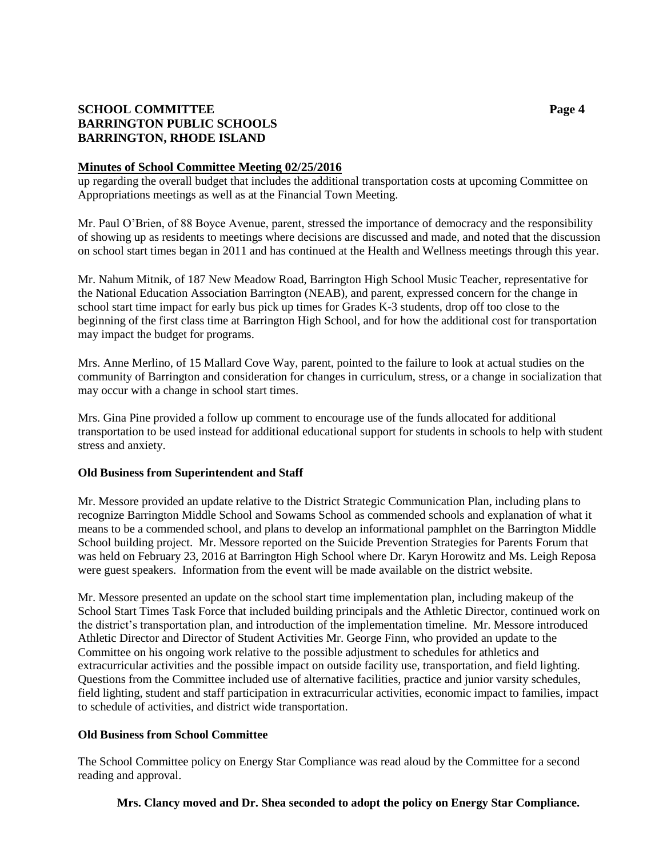# **SCHOOL COMMITTEE Page 4 BARRINGTON PUBLIC SCHOOLS BARRINGTON, RHODE ISLAND**

## **Minutes of School Committee Meeting 02/25/2016**

up regarding the overall budget that includes the additional transportation costs at upcoming Committee on Appropriations meetings as well as at the Financial Town Meeting.

Mr. Paul O'Brien, of 88 Boyce Avenue, parent, stressed the importance of democracy and the responsibility of showing up as residents to meetings where decisions are discussed and made, and noted that the discussion on school start times began in 2011 and has continued at the Health and Wellness meetings through this year.

Mr. Nahum Mitnik, of 187 New Meadow Road, Barrington High School Music Teacher, representative for the National Education Association Barrington (NEAB), and parent, expressed concern for the change in school start time impact for early bus pick up times for Grades K-3 students, drop off too close to the beginning of the first class time at Barrington High School, and for how the additional cost for transportation may impact the budget for programs.

Mrs. Anne Merlino, of 15 Mallard Cove Way, parent, pointed to the failure to look at actual studies on the community of Barrington and consideration for changes in curriculum, stress, or a change in socialization that may occur with a change in school start times.

Mrs. Gina Pine provided a follow up comment to encourage use of the funds allocated for additional transportation to be used instead for additional educational support for students in schools to help with student stress and anxiety.

## **Old Business from Superintendent and Staff**

Mr. Messore provided an update relative to the District Strategic Communication Plan, including plans to recognize Barrington Middle School and Sowams School as commended schools and explanation of what it means to be a commended school, and plans to develop an informational pamphlet on the Barrington Middle School building project. Mr. Messore reported on the Suicide Prevention Strategies for Parents Forum that was held on February 23, 2016 at Barrington High School where Dr. Karyn Horowitz and Ms. Leigh Reposa were guest speakers. Information from the event will be made available on the district website.

Mr. Messore presented an update on the school start time implementation plan, including makeup of the School Start Times Task Force that included building principals and the Athletic Director, continued work on the district's transportation plan, and introduction of the implementation timeline. Mr. Messore introduced Athletic Director and Director of Student Activities Mr. George Finn, who provided an update to the Committee on his ongoing work relative to the possible adjustment to schedules for athletics and extracurricular activities and the possible impact on outside facility use, transportation, and field lighting. Questions from the Committee included use of alternative facilities, practice and junior varsity schedules, field lighting, student and staff participation in extracurricular activities, economic impact to families, impact to schedule of activities, and district wide transportation.

## **Old Business from School Committee**

The School Committee policy on Energy Star Compliance was read aloud by the Committee for a second reading and approval.

## **Mrs. Clancy moved and Dr. Shea seconded to adopt the policy on Energy Star Compliance.**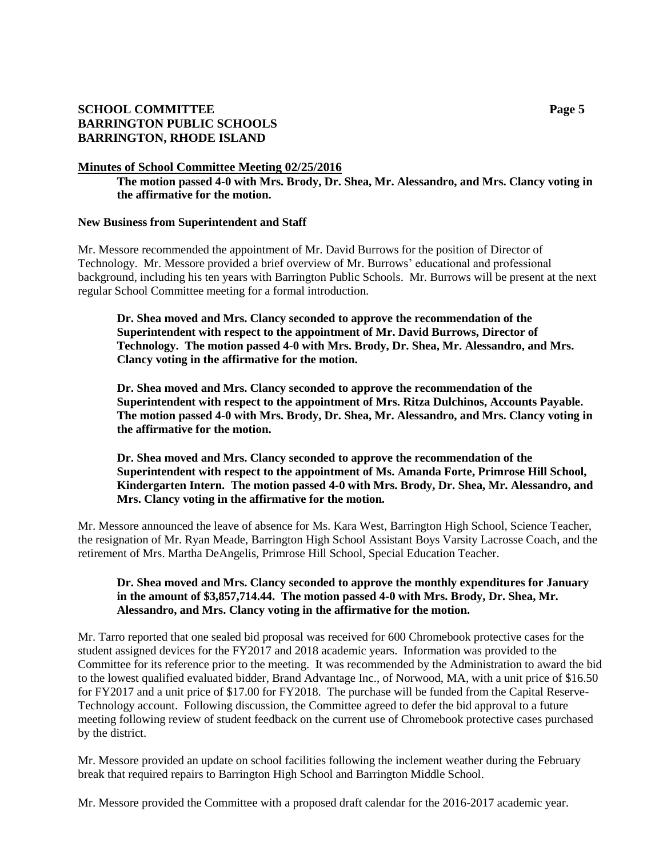# **SCHOOL COMMITTEE Page 5 BARRINGTON PUBLIC SCHOOLS BARRINGTON, RHODE ISLAND**

## **Minutes of School Committee Meeting 02/25/2016**

**The motion passed 4-0 with Mrs. Brody, Dr. Shea, Mr. Alessandro, and Mrs. Clancy voting in the affirmative for the motion.**

### **New Business from Superintendent and Staff**

Mr. Messore recommended the appointment of Mr. David Burrows for the position of Director of Technology. Mr. Messore provided a brief overview of Mr. Burrows' educational and professional background, including his ten years with Barrington Public Schools. Mr. Burrows will be present at the next regular School Committee meeting for a formal introduction.

**Dr. Shea moved and Mrs. Clancy seconded to approve the recommendation of the Superintendent with respect to the appointment of Mr. David Burrows, Director of Technology. The motion passed 4-0 with Mrs. Brody, Dr. Shea, Mr. Alessandro, and Mrs. Clancy voting in the affirmative for the motion.**

**Dr. Shea moved and Mrs. Clancy seconded to approve the recommendation of the Superintendent with respect to the appointment of Mrs. Ritza Dulchinos, Accounts Payable. The motion passed 4-0 with Mrs. Brody, Dr. Shea, Mr. Alessandro, and Mrs. Clancy voting in the affirmative for the motion.**

**Dr. Shea moved and Mrs. Clancy seconded to approve the recommendation of the Superintendent with respect to the appointment of Ms. Amanda Forte, Primrose Hill School, Kindergarten Intern. The motion passed 4-0 with Mrs. Brody, Dr. Shea, Mr. Alessandro, and Mrs. Clancy voting in the affirmative for the motion.**

Mr. Messore announced the leave of absence for Ms. Kara West, Barrington High School, Science Teacher, the resignation of Mr. Ryan Meade, Barrington High School Assistant Boys Varsity Lacrosse Coach, and the retirement of Mrs. Martha DeAngelis, Primrose Hill School, Special Education Teacher.

## **Dr. Shea moved and Mrs. Clancy seconded to approve the monthly expenditures for January in the amount of \$3,857,714.44. The motion passed 4-0 with Mrs. Brody, Dr. Shea, Mr. Alessandro, and Mrs. Clancy voting in the affirmative for the motion.**

Mr. Tarro reported that one sealed bid proposal was received for 600 Chromebook protective cases for the student assigned devices for the FY2017 and 2018 academic years. Information was provided to the Committee for its reference prior to the meeting. It was recommended by the Administration to award the bid to the lowest qualified evaluated bidder, Brand Advantage Inc., of Norwood, MA, with a unit price of \$16.50 for FY2017 and a unit price of \$17.00 for FY2018. The purchase will be funded from the Capital Reserve-Technology account. Following discussion, the Committee agreed to defer the bid approval to a future meeting following review of student feedback on the current use of Chromebook protective cases purchased by the district.

Mr. Messore provided an update on school facilities following the inclement weather during the February break that required repairs to Barrington High School and Barrington Middle School.

Mr. Messore provided the Committee with a proposed draft calendar for the 2016-2017 academic year.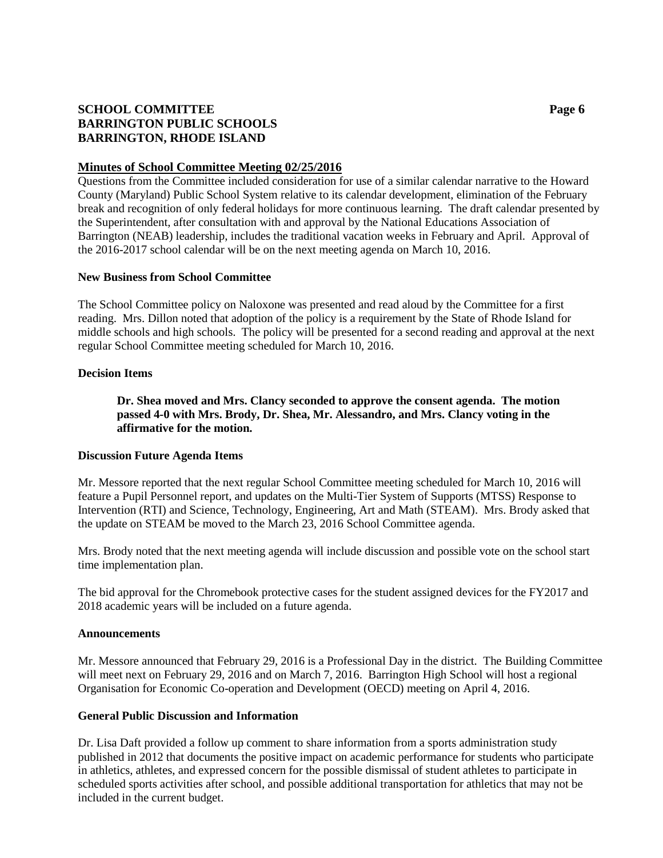# **SCHOOL COMMITTEE Page 6 BARRINGTON PUBLIC SCHOOLS BARRINGTON, RHODE ISLAND**

## **Minutes of School Committee Meeting 02/25/2016**

Questions from the Committee included consideration for use of a similar calendar narrative to the Howard County (Maryland) Public School System relative to its calendar development, elimination of the February break and recognition of only federal holidays for more continuous learning. The draft calendar presented by the Superintendent, after consultation with and approval by the National Educations Association of Barrington (NEAB) leadership, includes the traditional vacation weeks in February and April. Approval of the 2016-2017 school calendar will be on the next meeting agenda on March 10, 2016.

### **New Business from School Committee**

The School Committee policy on Naloxone was presented and read aloud by the Committee for a first reading. Mrs. Dillon noted that adoption of the policy is a requirement by the State of Rhode Island for middle schools and high schools. The policy will be presented for a second reading and approval at the next regular School Committee meeting scheduled for March 10, 2016.

### **Decision Items**

**Dr. Shea moved and Mrs. Clancy seconded to approve the consent agenda. The motion passed 4-0 with Mrs. Brody, Dr. Shea, Mr. Alessandro, and Mrs. Clancy voting in the affirmative for the motion.**

#### **Discussion Future Agenda Items**

Mr. Messore reported that the next regular School Committee meeting scheduled for March 10, 2016 will feature a Pupil Personnel report, and updates on the Multi-Tier System of Supports (MTSS) Response to Intervention (RTI) and Science, Technology, Engineering, Art and Math (STEAM). Mrs. Brody asked that the update on STEAM be moved to the March 23, 2016 School Committee agenda.

Mrs. Brody noted that the next meeting agenda will include discussion and possible vote on the school start time implementation plan.

The bid approval for the Chromebook protective cases for the student assigned devices for the FY2017 and 2018 academic years will be included on a future agenda.

#### **Announcements**

Mr. Messore announced that February 29, 2016 is a Professional Day in the district. The Building Committee will meet next on February 29, 2016 and on March 7, 2016. Barrington High School will host a regional Organisation for Economic Co-operation and Development (OECD) meeting on April 4, 2016.

#### **General Public Discussion and Information**

Dr. Lisa Daft provided a follow up comment to share information from a sports administration study published in 2012 that documents the positive impact on academic performance for students who participate in athletics, athletes, and expressed concern for the possible dismissal of student athletes to participate in scheduled sports activities after school, and possible additional transportation for athletics that may not be included in the current budget.